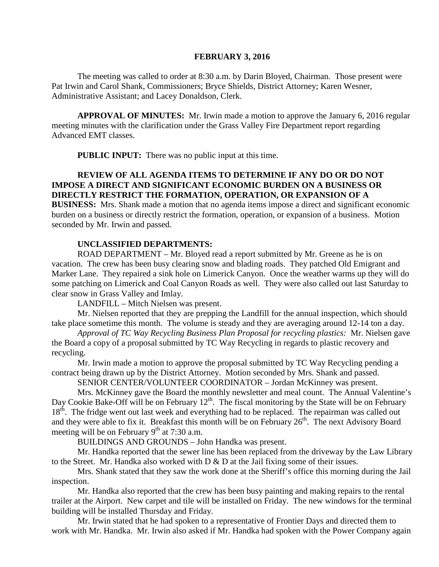#### **FEBRUARY 3, 2016**

The meeting was called to order at 8:30 a.m. by Darin Bloyed, Chairman. Those present were Pat Irwin and Carol Shank, Commissioners; Bryce Shields, District Attorney; Karen Wesner, Administrative Assistant; and Lacey Donaldson, Clerk.

**APPROVAL OF MINUTES:** Mr. Irwin made a motion to approve the January 6, 2016 regular meeting minutes with the clarification under the Grass Valley Fire Department report regarding Advanced EMT classes.

 **PUBLIC INPUT:** There was no public input at this time.

# **REVIEW OF ALL AGENDA ITEMS TO DETERMINE IF ANY DO OR DO NOT IMPOSE A DIRECT AND SIGNIFICANT ECONOMIC BURDEN ON A BUSINESS OR DIRECTLY RESTRICT THE FORMATION, OPERATION, OR EXPANSION OF A**

**BUSINESS:** Mrs. Shank made a motion that no agenda items impose a direct and significant economic burden on a business or directly restrict the formation, operation, or expansion of a business. Motion seconded by Mr. Irwin and passed.

#### **UNCLASSIFIED DEPARTMENTS:**

ROAD DEPARTMENT – Mr. Bloyed read a report submitted by Mr. Greene as he is on vacation. The crew has been busy clearing snow and blading roads. They patched Old Emigrant and Marker Lane. They repaired a sink hole on Limerick Canyon. Once the weather warms up they will do some patching on Limerick and Coal Canyon Roads as well. They were also called out last Saturday to clear snow in Grass Valley and Imlay.

LANDFILL – Mitch Nielsen was present.

Mr. Nielsen reported that they are prepping the Landfill for the annual inspection, which should take place sometime this month. The volume is steady and they are averaging around 12-14 ton a day.

*Approval of TC Way Recycling Business Plan Proposal for recycling plastics:* Mr. Nielsen gave the Board a copy of a proposal submitted by TC Way Recycling in regards to plastic recovery and recycling.

Mr. Irwin made a motion to approve the proposal submitted by TC Way Recycling pending a contract being drawn up by the District Attorney. Motion seconded by Mrs. Shank and passed.

SENIOR CENTER/VOLUNTEER COORDINATOR – Jordan McKinney was present.

Mrs. McKinney gave the Board the monthly newsletter and meal count. The Annual Valentine's Day Cookie Bake-Off will be on February  $12<sup>th</sup>$ . The fiscal monitoring by the State will be on February 18<sup>th</sup>. The fridge went out last week and everything had to be replaced. The repairman was called out and they were able to fix it. Breakfast this month will be on February 26<sup>th</sup>. The next Advisory Board meeting will be on February  $9<sup>th</sup>$  at 7:30 a.m.

BUILDINGS AND GROUNDS – John Handka was present.

Mr. Handka reported that the sewer line has been replaced from the driveway by the Law Library to the Street. Mr. Handka also worked with D & D at the Jail fixing some of their issues.

Mrs. Shank stated that they saw the work done at the Sheriff's office this morning during the Jail inspection.

Mr. Handka also reported that the crew has been busy painting and making repairs to the rental trailer at the Airport. New carpet and tile will be installed on Friday. The new windows for the terminal building will be installed Thursday and Friday.

Mr. Irwin stated that he had spoken to a representative of Frontier Days and directed them to work with Mr. Handka. Mr. Irwin also asked if Mr. Handka had spoken with the Power Company again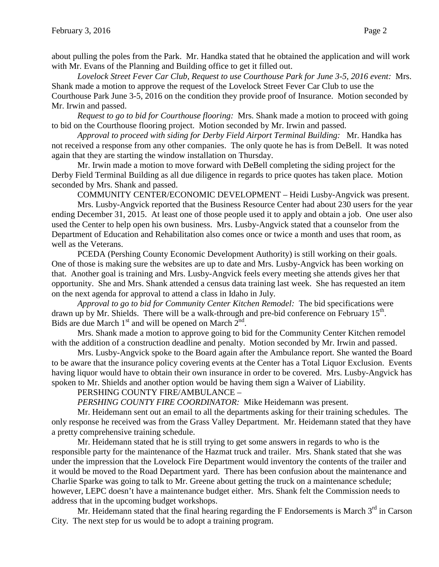*Lovelock Street Fever Car Club, Request to use Courthouse Park for June 3-5, 2016 event:* Mrs. Shank made a motion to approve the request of the Lovelock Street Fever Car Club to use the Courthouse Park June 3-5, 2016 on the condition they provide proof of Insurance. Motion seconded by Mr. Irwin and passed.

*Request to go to bid for Courthouse flooring:* Mrs. Shank made a motion to proceed with going to bid on the Courthouse flooring project. Motion seconded by Mr. Irwin and passed.

*Approval to proceed with siding for Derby Field Airport Terminal Building:* Mr. Handka has not received a response from any other companies. The only quote he has is from DeBell. It was noted again that they are starting the window installation on Thursday.

Mr. Irwin made a motion to move forward with DeBell completing the siding project for the Derby Field Terminal Building as all due diligence in regards to price quotes has taken place. Motion seconded by Mrs. Shank and passed.

COMMUNITY CENTER/ECONOMIC DEVELOPMENT – Heidi Lusby-Angvick was present. Mrs. Lusby-Angvick reported that the Business Resource Center had about 230 users for the year ending December 31, 2015. At least one of those people used it to apply and obtain a job. One user also

used the Center to help open his own business. Mrs. Lusby-Angvick stated that a counselor from the Department of Education and Rehabilitation also comes once or twice a month and uses that room, as well as the Veterans.

PCEDA (Pershing County Economic Development Authority) is still working on their goals. One of those is making sure the websites are up to date and Mrs. Lusby-Angvick has been working on that. Another goal is training and Mrs. Lusby-Angvick feels every meeting she attends gives her that opportunity. She and Mrs. Shank attended a census data training last week. She has requested an item on the next agenda for approval to attend a class in Idaho in July.

*Approval to go to bid for Community Center Kitchen Remodel:* The bid specifications were drawn up by Mr. Shields. There will be a walk-through and pre-bid conference on February  $15<sup>th</sup>$ . Bids are due March  $1<sup>st</sup>$  and will be opened on March  $2<sup>nd</sup>$ .

Mrs. Shank made a motion to approve going to bid for the Community Center Kitchen remodel with the addition of a construction deadline and penalty. Motion seconded by Mr. Irwin and passed.

Mrs. Lusby-Angvick spoke to the Board again after the Ambulance report. She wanted the Board to be aware that the insurance policy covering events at the Center has a Total Liquor Exclusion. Events having liquor would have to obtain their own insurance in order to be covered. Mrs. Lusby-Angvick has spoken to Mr. Shields and another option would be having them sign a Waiver of Liability.

PERSHING COUNTY FIRE/AMBULANCE –

*PERSHING COUNTY FIRE COORDINATOR:* Mike Heidemann was present.

Mr. Heidemann sent out an email to all the departments asking for their training schedules. The only response he received was from the Grass Valley Department. Mr. Heidemann stated that they have a pretty comprehensive training schedule.

Mr. Heidemann stated that he is still trying to get some answers in regards to who is the responsible party for the maintenance of the Hazmat truck and trailer. Mrs. Shank stated that she was under the impression that the Lovelock Fire Department would inventory the contents of the trailer and it would be moved to the Road Department yard. There has been confusion about the maintenance and Charlie Sparke was going to talk to Mr. Greene about getting the truck on a maintenance schedule; however, LEPC doesn't have a maintenance budget either. Mrs. Shank felt the Commission needs to address that in the upcoming budget workshops.

Mr. Heidemann stated that the final hearing regarding the F Endorsements is March  $3<sup>rd</sup>$  in Carson City. The next step for us would be to adopt a training program.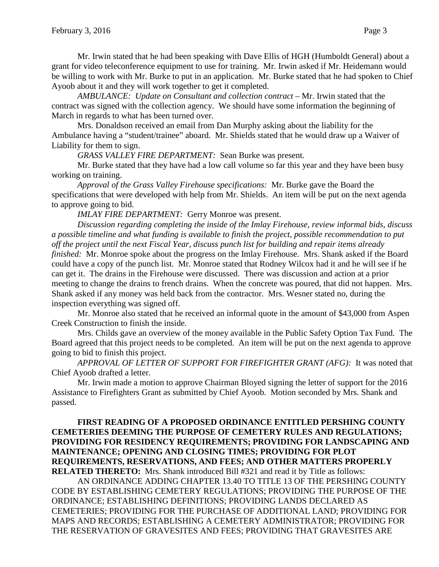Mr. Irwin stated that he had been speaking with Dave Ellis of HGH (Humboldt General) about a grant for video teleconference equipment to use for training. Mr. Irwin asked if Mr. Heidemann would be willing to work with Mr. Burke to put in an application. Mr. Burke stated that he had spoken to Chief Ayoob about it and they will work together to get it completed.

*AMBULANCE: Update on Consultant and collection contract –* Mr. Irwin stated that the contract was signed with the collection agency. We should have some information the beginning of March in regards to what has been turned over.

Mrs. Donaldson received an email from Dan Murphy asking about the liability for the Ambulance having a "student/trainee" aboard. Mr. Shields stated that he would draw up a Waiver of Liability for them to sign.

*GRASS VALLEY FIRE DEPARTMENT:* Sean Burke was present.

Mr. Burke stated that they have had a low call volume so far this year and they have been busy working on training.

*Approval of the Grass Valley Firehouse specifications:* Mr. Burke gave the Board the specifications that were developed with help from Mr. Shields. An item will be put on the next agenda to approve going to bid.

*IMLAY FIRE DEPARTMENT:* Gerry Monroe was present.

*Discussion regarding completing the inside of the Imlay Firehouse, review informal bids, discuss a possible timeline and what funding is available to finish the project, possible recommendation to put off the project until the next Fiscal Year, discuss punch list for building and repair items already finished:* Mr. Monroe spoke about the progress on the Imlay Firehouse. Mrs. Shank asked if the Board could have a copy of the punch list. Mr. Monroe stated that Rodney Wilcox had it and he will see if he can get it. The drains in the Firehouse were discussed. There was discussion and action at a prior meeting to change the drains to french drains. When the concrete was poured, that did not happen. Mrs. Shank asked if any money was held back from the contractor. Mrs. Wesner stated no, during the inspection everything was signed off.

Mr. Monroe also stated that he received an informal quote in the amount of \$43,000 from Aspen Creek Construction to finish the inside.

Mrs. Childs gave an overview of the money available in the Public Safety Option Tax Fund. The Board agreed that this project needs to be completed. An item will be put on the next agenda to approve going to bid to finish this project.

*APPROVAL OF LETTER OF SUPPORT FOR FIREFIGHTER GRANT (AFG):* It was noted that Chief Ayoob drafted a letter.

Mr. Irwin made a motion to approve Chairman Bloyed signing the letter of support for the 2016 Assistance to Firefighters Grant as submitted by Chief Ayoob. Motion seconded by Mrs. Shank and passed.

## **FIRST READING OF A PROPOSED ORDINANCE ENTITLED PERSHING COUNTY CEMETERIES DEEMING THE PURPOSE OF CEMETERY RULES AND REGULATIONS; PROVIDING FOR RESIDENCY REQUIREMENTS; PROVIDING FOR LANDSCAPING AND MAINTENANCE; OPENING AND CLOSING TIMES; PROVIDING FOR PLOT REQUIREMENTS, RESERVATIONS, AND FEES; AND OTHER MATTERS PROPERLY RELATED THERETO:** Mrs. Shank introduced Bill #321 and read it by Title as follows:

AN ORDINANCE ADDING CHAPTER 13.40 TO TITLE 13 OF THE PERSHING COUNTY CODE BY ESTABLISHING CEMETERY REGULATIONS; PROVIDING THE PURPOSE OF THE ORDINANCE; ESTABLISHING DEFINITIONS; PROVIDING LANDS DECLARED AS CEMETERIES; PROVIDING FOR THE PURCHASE OF ADDITIONAL LAND; PROVIDING FOR MAPS AND RECORDS; ESTABLISHING A CEMETERY ADMINISTRATOR; PROVIDING FOR THE RESERVATION OF GRAVESITES AND FEES; PROVIDING THAT GRAVESITES ARE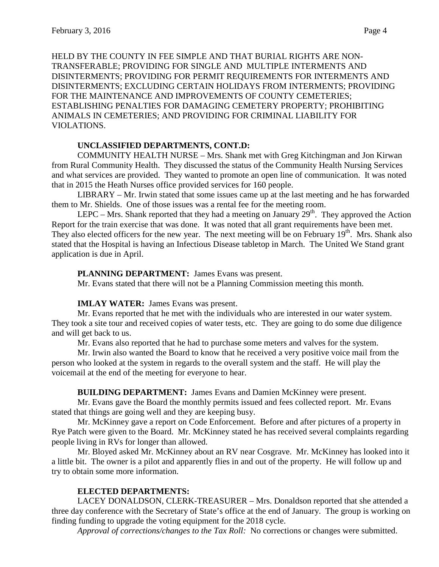HELD BY THE COUNTY IN FEE SIMPLE AND THAT BURIAL RIGHTS ARE NON-TRANSFERABLE; PROVIDING FOR SINGLE AND MULTIPLE INTERMENTS AND DISINTERMENTS; PROVIDING FOR PERMIT REQUIREMENTS FOR INTERMENTS AND DISINTERMENTS; EXCLUDING CERTAIN HOLIDAYS FROM INTERMENTS; PROVIDING FOR THE MAINTENANCE AND IMPROVEMENTS OF COUNTY CEMETERIES; ESTABLISHING PENALTIES FOR DAMAGING CEMETERY PROPERTY; PROHIBITING ANIMALS IN CEMETERIES; AND PROVIDING FOR CRIMINAL LIABILITY FOR VIOLATIONS.

### **UNCLASSIFIED DEPARTMENTS, CONT.D:**

COMMUNITY HEALTH NURSE – Mrs. Shank met with Greg Kitchingman and Jon Kirwan from Rural Community Health. They discussed the status of the Community Health Nursing Services and what services are provided. They wanted to promote an open line of communication. It was noted that in 2015 the Heath Nurses office provided services for 160 people.

LIBRARY – Mr. Irwin stated that some issues came up at the last meeting and he has forwarded them to Mr. Shields. One of those issues was a rental fee for the meeting room.

LEPC – Mrs. Shank reported that they had a meeting on January  $29<sup>th</sup>$ . They approved the Action Report for the train exercise that was done. It was noted that all grant requirements have been met. They also elected officers for the new year. The next meeting will be on February  $19<sup>th</sup>$ . Mrs. Shank also stated that the Hospital is having an Infectious Disease tabletop in March. The United We Stand grant application is due in April.

## **PLANNING DEPARTMENT:** James Evans was present.

Mr. Evans stated that there will not be a Planning Commission meeting this month.

### **IMLAY WATER:** James Evans was present.

Mr. Evans reported that he met with the individuals who are interested in our water system. They took a site tour and received copies of water tests, etc. They are going to do some due diligence and will get back to us.

Mr. Evans also reported that he had to purchase some meters and valves for the system.

Mr. Irwin also wanted the Board to know that he received a very positive voice mail from the person who looked at the system in regards to the overall system and the staff. He will play the voicemail at the end of the meeting for everyone to hear.

**BUILDING DEPARTMENT:** James Evans and Damien McKinney were present.

Mr. Evans gave the Board the monthly permits issued and fees collected report. Mr. Evans stated that things are going well and they are keeping busy.

Mr. McKinney gave a report on Code Enforcement. Before and after pictures of a property in Rye Patch were given to the Board. Mr. McKinney stated he has received several complaints regarding people living in RVs for longer than allowed.

Mr. Bloyed asked Mr. McKinney about an RV near Cosgrave. Mr. McKinney has looked into it a little bit. The owner is a pilot and apparently flies in and out of the property. He will follow up and try to obtain some more information.

# **ELECTED DEPARTMENTS:**

LACEY DONALDSON, CLERK-TREASURER – Mrs. Donaldson reported that she attended a three day conference with the Secretary of State's office at the end of January. The group is working on finding funding to upgrade the voting equipment for the 2018 cycle.

*Approval of corrections/changes to the Tax Roll:* No corrections or changes were submitted.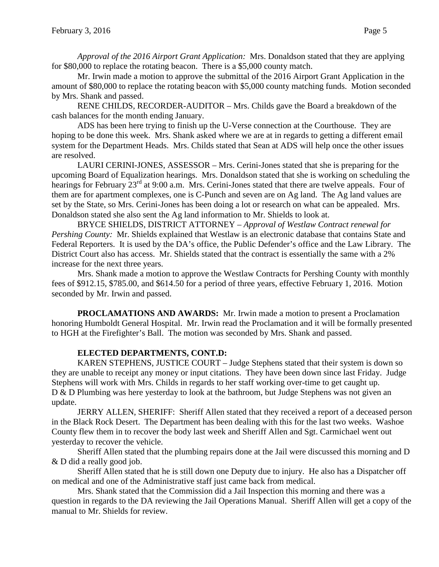*Approval of the 2016 Airport Grant Application:* Mrs. Donaldson stated that they are applying for \$80,000 to replace the rotating beacon. There is a \$5,000 county match.

Mr. Irwin made a motion to approve the submittal of the 2016 Airport Grant Application in the amount of \$80,000 to replace the rotating beacon with \$5,000 county matching funds. Motion seconded by Mrs. Shank and passed.

RENE CHILDS, RECORDER-AUDITOR – Mrs. Childs gave the Board a breakdown of the cash balances for the month ending January.

ADS has been here trying to finish up the U-Verse connection at the Courthouse. They are hoping to be done this week. Mrs. Shank asked where we are at in regards to getting a different email system for the Department Heads. Mrs. Childs stated that Sean at ADS will help once the other issues are resolved.

LAURI CERINI-JONES, ASSESSOR – Mrs. Cerini-Jones stated that she is preparing for the upcoming Board of Equalization hearings. Mrs. Donaldson stated that she is working on scheduling the hearings for February 23<sup>rd</sup> at 9:00 a.m. Mrs. Cerini-Jones stated that there are twelve appeals. Four of them are for apartment complexes, one is C-Punch and seven are on Ag land. The Ag land values are set by the State, so Mrs. Cerini-Jones has been doing a lot or research on what can be appealed. Mrs. Donaldson stated she also sent the Ag land information to Mr. Shields to look at.

BRYCE SHIELDS, DISTRICT ATTORNEY – *Approval of Westlaw Contract renewal for Pershing County:* Mr. Shields explained that Westlaw is an electronic database that contains State and Federal Reporters. It is used by the DA's office, the Public Defender's office and the Law Library. The District Court also has access. Mr. Shields stated that the contract is essentially the same with a 2% increase for the next three years.

Mrs. Shank made a motion to approve the Westlaw Contracts for Pershing County with monthly fees of \$912.15, \$785.00, and \$614.50 for a period of three years, effective February 1, 2016. Motion seconded by Mr. Irwin and passed.

**PROCLAMATIONS AND AWARDS:** Mr. Irwin made a motion to present a Proclamation honoring Humboldt General Hospital. Mr. Irwin read the Proclamation and it will be formally presented to HGH at the Firefighter's Ball. The motion was seconded by Mrs. Shank and passed.

# **ELECTED DEPARTMENTS, CONT.D:**

KAREN STEPHENS, JUSTICE COURT – Judge Stephens stated that their system is down so they are unable to receipt any money or input citations. They have been down since last Friday. Judge Stephens will work with Mrs. Childs in regards to her staff working over-time to get caught up. D & D Plumbing was here yesterday to look at the bathroom, but Judge Stephens was not given an update.

JERRY ALLEN, SHERIFF: Sheriff Allen stated that they received a report of a deceased person in the Black Rock Desert. The Department has been dealing with this for the last two weeks. Washoe County flew them in to recover the body last week and Sheriff Allen and Sgt. Carmichael went out yesterday to recover the vehicle.

Sheriff Allen stated that the plumbing repairs done at the Jail were discussed this morning and D & D did a really good job.

Sheriff Allen stated that he is still down one Deputy due to injury. He also has a Dispatcher off on medical and one of the Administrative staff just came back from medical.

Mrs. Shank stated that the Commission did a Jail Inspection this morning and there was a question in regards to the DA reviewing the Jail Operations Manual. Sheriff Allen will get a copy of the manual to Mr. Shields for review.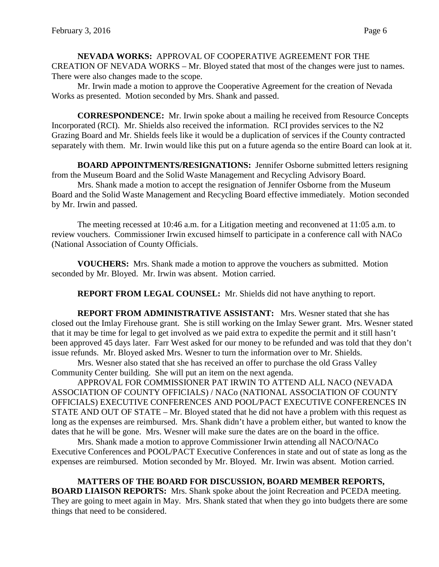**NEVADA WORKS:** APPROVAL OF COOPERATIVE AGREEMENT FOR THE CREATION OF NEVADA WORKS – Mr. Bloyed stated that most of the changes were just to names. There were also changes made to the scope.

Mr. Irwin made a motion to approve the Cooperative Agreement for the creation of Nevada Works as presented. Motion seconded by Mrs. Shank and passed.

**CORRESPONDENCE:** Mr. Irwin spoke about a mailing he received from Resource Concepts Incorporated (RCI). Mr. Shields also received the information. RCI provides services to the N2 Grazing Board and Mr. Shields feels like it would be a duplication of services if the County contracted separately with them. Mr. Irwin would like this put on a future agenda so the entire Board can look at it.

**BOARD APPOINTMENTS/RESIGNATIONS:** Jennifer Osborne submitted letters resigning from the Museum Board and the Solid Waste Management and Recycling Advisory Board.

Mrs. Shank made a motion to accept the resignation of Jennifer Osborne from the Museum Board and the Solid Waste Management and Recycling Board effective immediately. Motion seconded by Mr. Irwin and passed.

The meeting recessed at 10:46 a.m. for a Litigation meeting and reconvened at 11:05 a.m. to review vouchers. Commissioner Irwin excused himself to participate in a conference call with NACo (National Association of County Officials.

**VOUCHERS:** Mrs. Shank made a motion to approve the vouchers as submitted. Motion seconded by Mr. Bloyed. Mr. Irwin was absent. Motion carried.

**REPORT FROM LEGAL COUNSEL:** Mr. Shields did not have anything to report.

**REPORT FROM ADMINISTRATIVE ASSISTANT:** Mrs. Wesner stated that she has closed out the Imlay Firehouse grant. She is still working on the Imlay Sewer grant. Mrs. Wesner stated that it may be time for legal to get involved as we paid extra to expedite the permit and it still hasn't been approved 45 days later. Farr West asked for our money to be refunded and was told that they don't issue refunds. Mr. Bloyed asked Mrs. Wesner to turn the information over to Mr. Shields.

Mrs. Wesner also stated that she has received an offer to purchase the old Grass Valley Community Center building. She will put an item on the next agenda.

APPROVAL FOR COMMISSIONER PAT IRWIN TO ATTEND ALL NACO (NEVADA ASSOCIATION OF COUNTY OFFICIALS) / NACo (NATIONAL ASSOCIATION OF COUNTY OFFICIALS) EXECUTIVE CONFERENCES AND POOL/PACT EXECUTIVE CONFERENCES IN STATE AND OUT OF STATE – Mr. Bloyed stated that he did not have a problem with this request as long as the expenses are reimbursed. Mrs. Shank didn't have a problem either, but wanted to know the dates that he will be gone. Mrs. Wesner will make sure the dates are on the board in the office.

Mrs. Shank made a motion to approve Commissioner Irwin attending all NACO/NACo Executive Conferences and POOL/PACT Executive Conferences in state and out of state as long as the expenses are reimbursed. Motion seconded by Mr. Bloyed. Mr. Irwin was absent. Motion carried.

**MATTERS OF THE BOARD FOR DISCUSSION, BOARD MEMBER REPORTS, BOARD LIAISON REPORTS:** Mrs. Shank spoke about the joint Recreation and PCEDA meeting. They are going to meet again in May. Mrs. Shank stated that when they go into budgets there are some things that need to be considered.